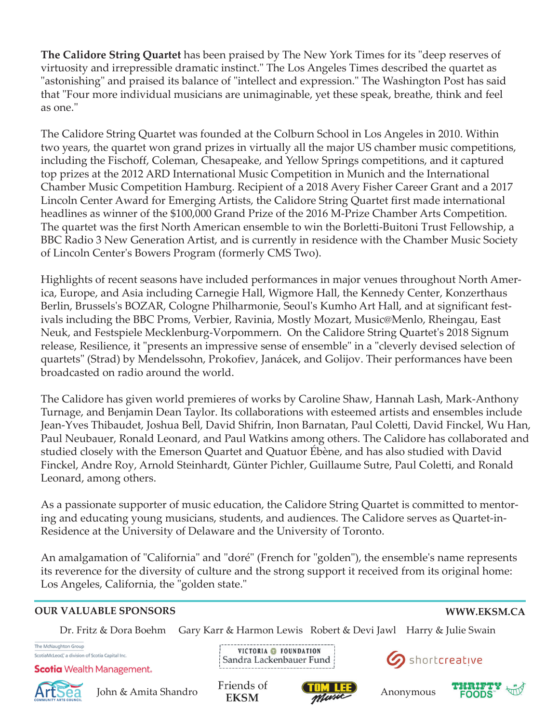**The Calidore String Quartet** has been praised by The New York Times for its "deep reserves of virtuosity and irrepressible dramatic instinct." The Los Angeles Times described the quartet as "astonishing" and praised its balance of "intellect and expression." The Washington Post has said that "Four more individual musicians are unimaginable, yet these speak, breathe, think and feel as one."

The Calidore String Quartet was founded at the Colburn School in Los Angeles in 2010. Within two years, the quartet won grand prizes in virtually all the major US chamber music competitions, including the Fischoff, Coleman, Chesapeake, and Yellow Springs competitions, and it captured top prizes at the 2012 ARD International Music Competition in Munich and the International Chamber Music Competition Hamburg. Recipient of a 2018 Avery Fisher Career Grant and a 2017 Lincoln Center Award for Emerging Artists, the Calidore String Quartet first made international headlines as winner of the \$100,000 Grand Prize of the 2016 M-Prize Chamber Arts Competition. The quartet was the first North American ensemble to win the Borletti-Buitoni Trust Fellowship, a BBC Radio 3 New Generation Artist, and is currently in residence with the Chamber Music Society of Lincoln Center's Bowers Program (formerly CMS Two).

Highlights of recent seasons have included performances in major venues throughout North America, Europe, and Asia including Carnegie Hall, Wigmore Hall, the Kennedy Center, Konzerthaus Berlin, Brussels's BOZAR, Cologne Philharmonie, Seoul's Kumho Art Hall, and at significant festivals including the BBC Proms, Verbier, Ravinia, Mostly Mozart, Music@Menlo, Rheingau, East Neuk, and Festspiele Mecklenburg-Vorpommern. On the Calidore String Quartet's 2018 Signum release, Resilience, it "presents an impressive sense of ensemble" in a "cleverly devised selection of quartets" (Strad) by Mendelssohn, Prokofiev, Janácek, and Golijov. Their performances have been broadcasted on radio around the world.

The Calidore has given world premieres of works by Caroline Shaw, Hannah Lash, Mark-Anthony Turnage, and Benjamin Dean Taylor. Its collaborations with esteemed artists and ensembles include Jean-Yves Thibaudet, Joshua Bell, David Shifrin, Inon Barnatan, Paul Coletti, David Finckel, Wu Han, Paul Neubauer, Ronald Leonard, and Paul Watkins among others. The Calidore has collaborated and studied closely with the Emerson Quartet and Quatuor Ébène, and has also studied with David Finckel, Andre Roy, Arnold Steinhardt, Günter Pichler, Guillaume Sutre, Paul Coletti, and Ronald Leonard, among others.

As a passionate supporter of music education, the Calidore String Quartet is committed to mentoring and educating young musicians, students, and audiences. The Calidore serves as Quartet-in-Residence at the University of Delaware and the University of Toronto.

An amalgamation of "California" and "doré" (French for "golden"), the ensemble's name represents its reverence for the diversity of culture and the strong support it received from its original home: Los Angeles, California, the "golden state."

#### **OUR VALUABLE SPONSORS WWW.EKSM.CA**

Dr. Fritz & Dora Boehm Gary Karr & Harmon Lewis Robert & Devi Jawl Harry & Julie Swain

The McNaughton Group ScotiaMcLeod, a division of Scotia Capital Inc.

**Scotia** Wealth Management.





VICTORIA O FOUNDATION Sandra Lackenbauer Fund